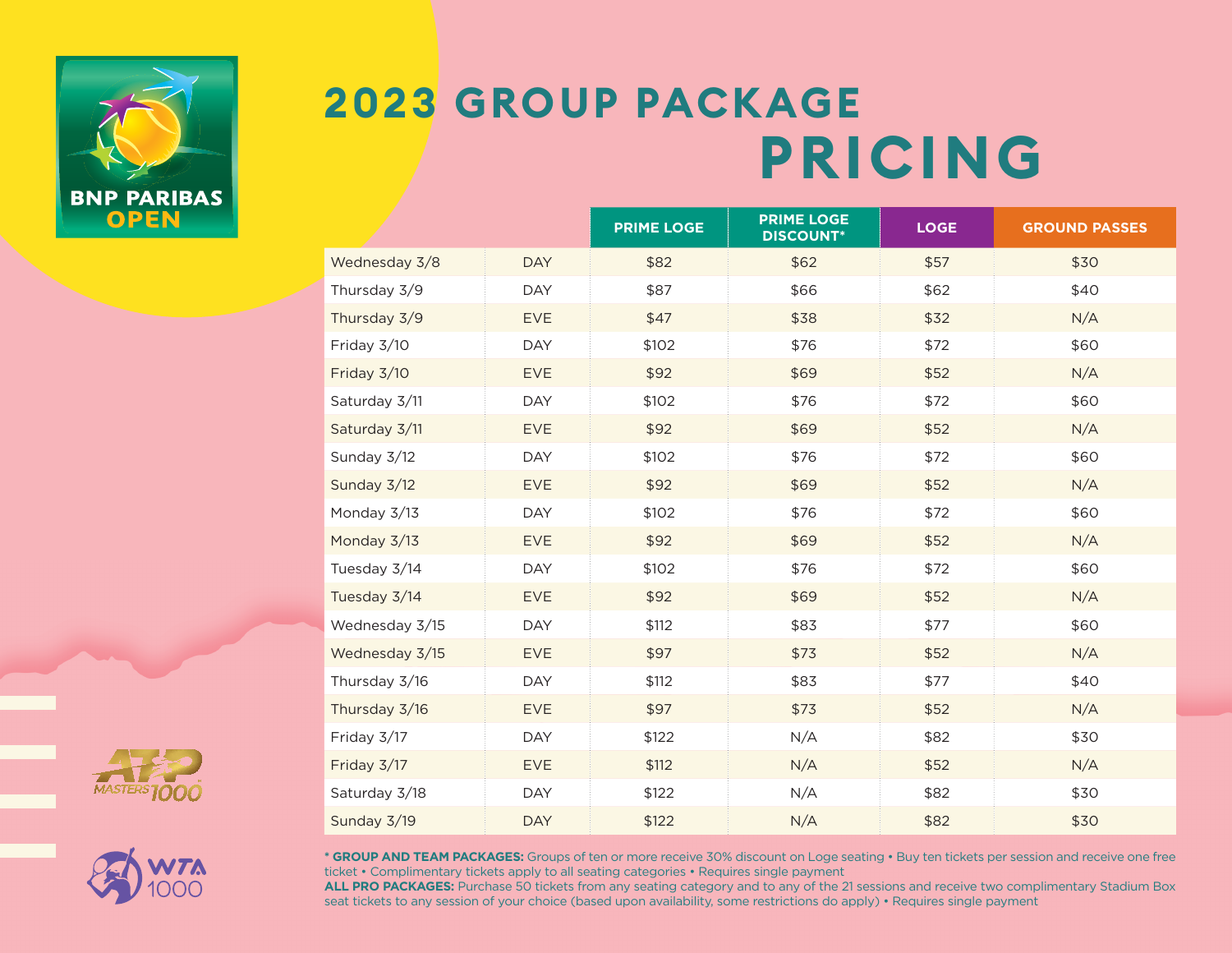



|                |            | <b>PRIME LOGE</b> | <b>PRIME LOGE</b><br><b>DISCOUNT*</b> | <b>LOGE</b> | <b>GROUND PASSES</b> |  |
|----------------|------------|-------------------|---------------------------------------|-------------|----------------------|--|
| Wednesday 3/8  | <b>DAY</b> | \$82              | \$62                                  | \$57        | \$30                 |  |
| Thursday 3/9   | <b>DAY</b> | \$87              | \$66                                  | \$62        | \$40                 |  |
| Thursday 3/9   | <b>EVE</b> | \$47              | \$38                                  | \$32        | N/A                  |  |
| Friday 3/10    | <b>DAY</b> | \$102             | \$76                                  | \$72        | \$60                 |  |
| Friday 3/10    | <b>EVE</b> | \$92              | \$69                                  | \$52        | N/A                  |  |
| Saturday 3/11  | <b>DAY</b> | \$102             | \$76                                  | \$72        | \$60                 |  |
| Saturday 3/11  | <b>EVE</b> | \$92              | \$69                                  | \$52        | N/A                  |  |
| Sunday 3/12    | <b>DAY</b> | \$102             | \$76                                  | \$72        | \$60                 |  |
| Sunday 3/12    | <b>EVE</b> | \$92              | \$69                                  | \$52        | N/A                  |  |
| Monday 3/13    | <b>DAY</b> | \$102             | \$76                                  | \$72        | \$60                 |  |
| Monday 3/13    | <b>EVE</b> | \$92              | \$69                                  | \$52        | N/A                  |  |
| Tuesday 3/14   | <b>DAY</b> | \$102             | \$76                                  | \$72        | \$60                 |  |
| Tuesday 3/14   | <b>EVE</b> | \$92              | \$69                                  | \$52        | N/A                  |  |
| Wednesday 3/15 | <b>DAY</b> | \$112             | \$83                                  | \$77        | \$60                 |  |
| Wednesday 3/15 | <b>EVE</b> | \$97              | \$73                                  | \$52        | N/A                  |  |
| Thursday 3/16  | DAY        | \$112             | \$83                                  | \$77        | \$40                 |  |
| Thursday 3/16  | <b>EVE</b> | \$97              | \$73                                  | \$52        | N/A                  |  |
| Friday 3/17    | DAY        | \$122             | N/A                                   | \$82        | \$30                 |  |
| Friday 3/17    | <b>EVE</b> | \$112             | N/A                                   | \$52        | N/A                  |  |
| Saturday 3/18  | <b>DAY</b> | \$122             | N/A                                   | \$82        | \$30                 |  |
| Sunday 3/19    | <b>DAY</b> | \$122             | N/A                                   | \$82        | \$30                 |  |





**\* GROUP AND TEAM PACKAGES:** Groups of ten or more receive 30% discount on Loge seating • Buy ten tickets per session and receive one free ticket • Complimentary tickets apply to all seating categories • Requires single payment

**ALL PRO PACKAGES:** Purchase 50 tickets from any seating category and to any of the 21 sessions and receive two complimentary Stadium Box seat tickets to any session of your choice (based upon availability, some restrictions do apply) • Requires single payment